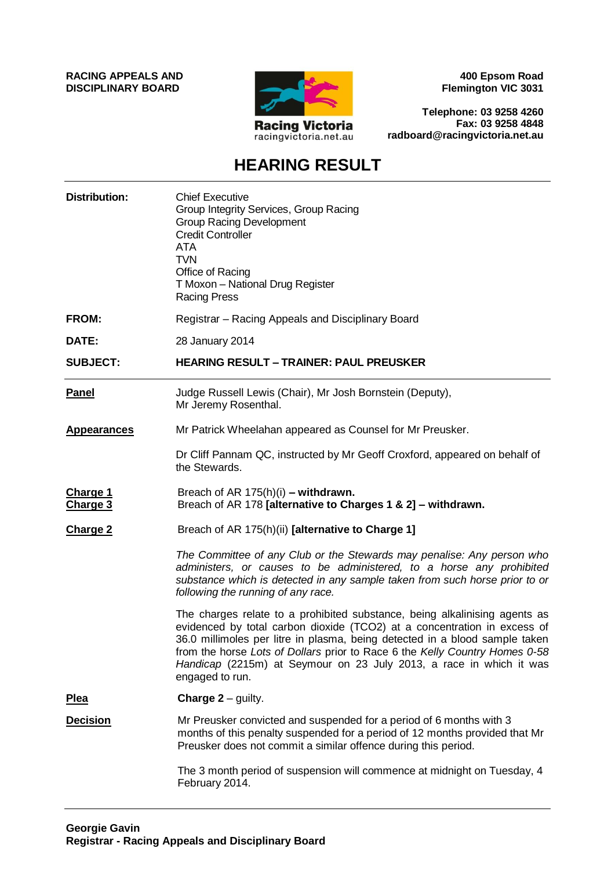**RACING APPEALS AND DISCIPLINARY BOARD**



**400 Epsom Road Flemington VIC 3031**

**Telephone: 03 9258 4260 Fax: 03 9258 4848 radboard@racingvictoria.net.au**

# **HEARING RESULT**

| <b>Distribution:</b> | <b>Chief Executive</b><br>Group Integrity Services, Group Racing<br><b>Group Racing Development</b><br><b>Credit Controller</b><br><b>ATA</b><br><b>TVN</b><br>Office of Racing<br>T Moxon - National Drug Register<br><b>Racing Press</b>                                                                                                                                                                     |
|----------------------|----------------------------------------------------------------------------------------------------------------------------------------------------------------------------------------------------------------------------------------------------------------------------------------------------------------------------------------------------------------------------------------------------------------|
| FROM:                | Registrar – Racing Appeals and Disciplinary Board                                                                                                                                                                                                                                                                                                                                                              |
| DATE:                | 28 January 2014                                                                                                                                                                                                                                                                                                                                                                                                |
| <b>SUBJECT:</b>      | <b>HEARING RESULT - TRAINER: PAUL PREUSKER</b>                                                                                                                                                                                                                                                                                                                                                                 |
| <b>Panel</b>         | Judge Russell Lewis (Chair), Mr Josh Bornstein (Deputy),<br>Mr Jeremy Rosenthal.                                                                                                                                                                                                                                                                                                                               |
| <b>Appearances</b>   | Mr Patrick Wheelahan appeared as Counsel for Mr Preusker.                                                                                                                                                                                                                                                                                                                                                      |
|                      | Dr Cliff Pannam QC, instructed by Mr Geoff Croxford, appeared on behalf of<br>the Stewards.                                                                                                                                                                                                                                                                                                                    |
| Charge 1<br>Charge 3 | Breach of AR $175(h)(i)$ – withdrawn.<br>Breach of AR 178 [alternative to Charges 1 & 2] - withdrawn.                                                                                                                                                                                                                                                                                                          |
| <b>Charge 2</b>      | Breach of AR 175(h)(ii) [alternative to Charge 1]                                                                                                                                                                                                                                                                                                                                                              |
|                      | The Committee of any Club or the Stewards may penalise: Any person who<br>administers, or causes to be administered, to a horse any prohibited<br>substance which is detected in any sample taken from such horse prior to or<br>following the running of any race.                                                                                                                                            |
|                      | The charges relate to a prohibited substance, being alkalinising agents as<br>evidenced by total carbon dioxide (TCO2) at a concentration in excess of<br>36.0 millimoles per litre in plasma, being detected in a blood sample taken<br>from the horse Lots of Dollars prior to Race 6 the Kelly Country Homes 0-58<br>Handicap (2215m) at Seymour on 23 July 2013, a race in which it was<br>engaged to run. |
| <b>Plea</b>          | <b>Charge <math>2 -</math> guilty.</b>                                                                                                                                                                                                                                                                                                                                                                         |
| <b>Decision</b>      | Mr Preusker convicted and suspended for a period of 6 months with 3<br>months of this penalty suspended for a period of 12 months provided that Mr<br>Preusker does not commit a similar offence during this period.                                                                                                                                                                                           |
|                      | The 3 month period of suspension will commence at midnight on Tuesday, 4<br>February 2014.                                                                                                                                                                                                                                                                                                                     |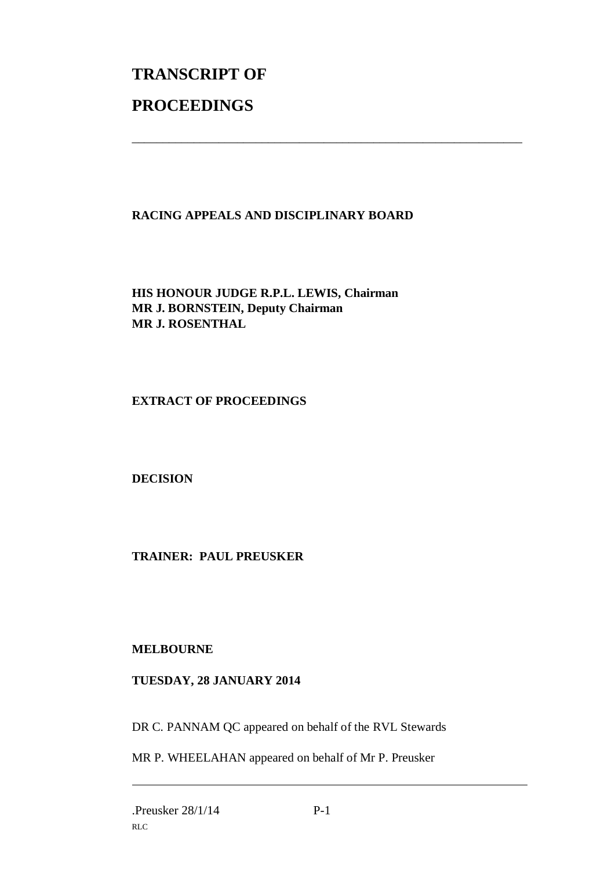# **TRANSCRIPT OF PROCEEDINGS**

## **RACING APPEALS AND DISCIPLINARY BOARD**

\_\_\_\_\_\_\_\_\_\_\_\_\_\_\_\_\_\_\_\_\_\_\_\_\_\_\_\_\_\_\_\_\_\_\_\_\_\_\_\_\_\_\_\_\_\_\_\_\_\_\_\_\_\_\_\_\_\_\_\_\_\_\_

**HIS HONOUR JUDGE R.P.L. LEWIS, Chairman MR J. BORNSTEIN, Deputy Chairman MR J. ROSENTHAL**

**EXTRACT OF PROCEEDINGS**

**DECISION**

**TRAINER: PAUL PREUSKER**

### **MELBOURNE**

### **TUESDAY, 28 JANUARY 2014**

DR C. PANNAM QC appeared on behalf of the RVL Stewards

MR P. WHEELAHAN appeared on behalf of Mr P. Preusker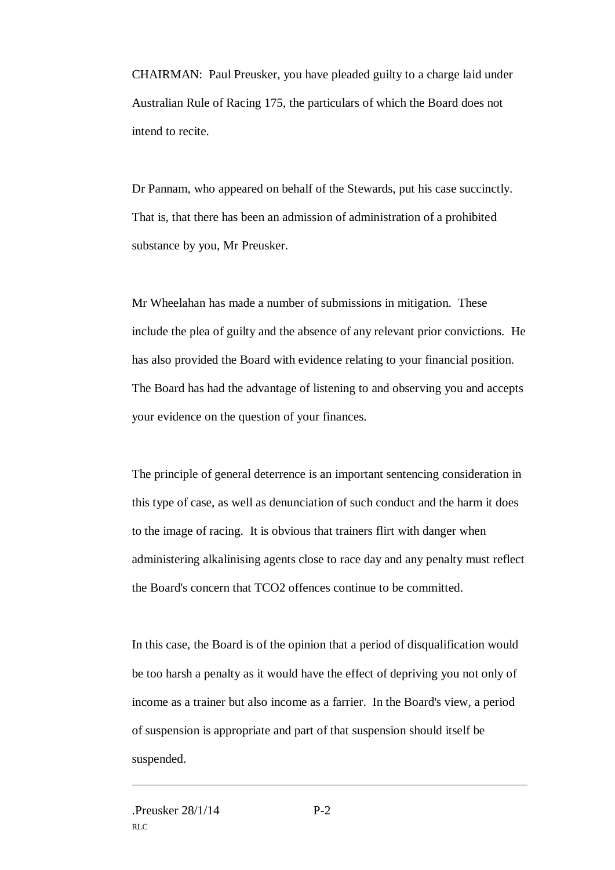CHAIRMAN: Paul Preusker, you have pleaded guilty to a charge laid under Australian Rule of Racing 175, the particulars of which the Board does not intend to recite.

Dr Pannam, who appeared on behalf of the Stewards, put his case succinctly. That is, that there has been an admission of administration of a prohibited substance by you, Mr Preusker.

Mr Wheelahan has made a number of submissions in mitigation. These include the plea of guilty and the absence of any relevant prior convictions. He has also provided the Board with evidence relating to your financial position. The Board has had the advantage of listening to and observing you and accepts your evidence on the question of your finances.

The principle of general deterrence is an important sentencing consideration in this type of case, as well as denunciation of such conduct and the harm it does to the image of racing. It is obvious that trainers flirt with danger when administering alkalinising agents close to race day and any penalty must reflect the Board's concern that TCO2 offences continue to be committed.

In this case, the Board is of the opinion that a period of disqualification would be too harsh a penalty as it would have the effect of depriving you not only of income as a trainer but also income as a farrier. In the Board's view, a period of suspension is appropriate and part of that suspension should itself be suspended.